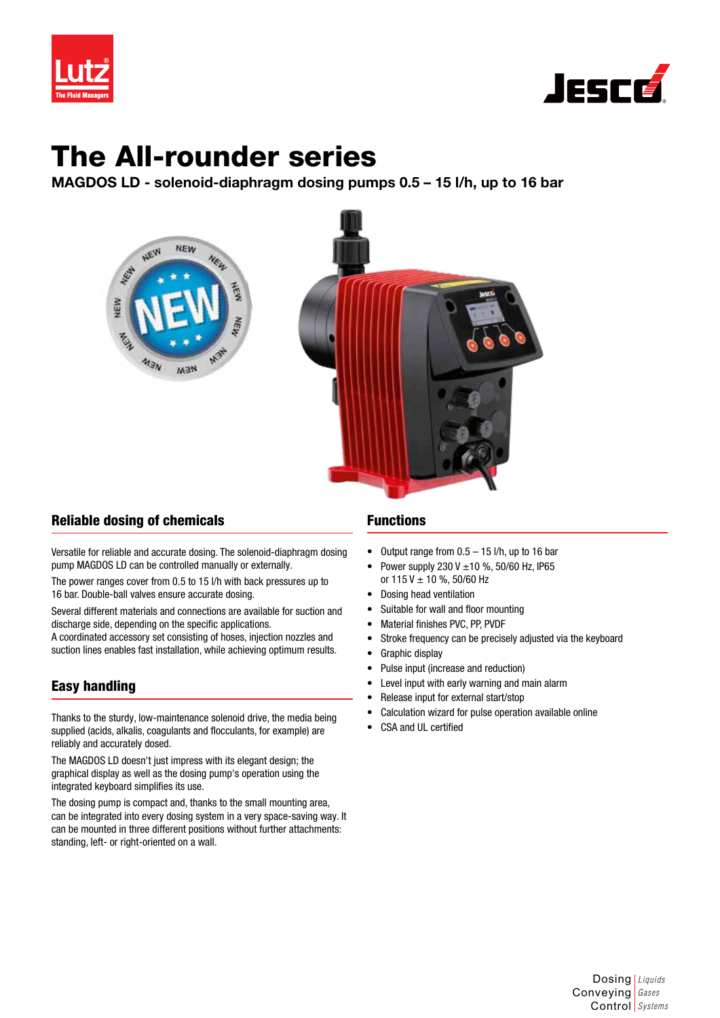



# The All-rounder series

MAGDOS LD - solenoid-diaphragm dosing pumps 0.5 – 15 l/h, up to 16 bar



## Reliable dosing of chemicals

Versatile for reliable and accurate dosing. The solenoid-diaphragm dosing pump MAGDOS LD can be controlled manually or externally.

The power ranges cover from 0.5 to 15 l/h with back pressures up to 16 bar. Double-ball valves ensure accurate dosing.

Several different materials and connections are available for suction and discharge side, depending on the specific applications.

A coordinated accessory set consisting of hoses, injection nozzles and suction lines enables fast installation, while achieving optimum results.

## Easy handling

Thanks to the sturdy, low-maintenance solenoid drive, the media being supplied (acids, alkalis, coagulants and flocculants, for example) are reliably and accurately dosed.

The MAGDOS LD doesn't just impress with its elegant design; the graphical display as well as the dosing pump's operation using the integrated keyboard simplifies its use.

The dosing pump is compact and, thanks to the small mounting area, can be integrated into every dosing system in a very space-saving way. It can be mounted in three different positions without further attachments: standing, left- or right-oriented on a wall.

## Functions

- Output range from  $0.5 15$  I/h, up to 16 bar
- Power supply 230 V  $\pm$ 10 %, 50/60 Hz, IP65 or  $115 V \pm 10$  %, 50/60 Hz
- Dosing head ventilation
- Suitable for wall and floor mounting
- Material finishes PVC, PP, PVDF
- Stroke frequency can be precisely adjusted via the keyboard
- Graphic display
- Pulse input (increase and reduction)
- Level input with early warning and main alarm
- Release input for external start/stop
- Calculation wizard for pulse operation available online
- CSA and UL certified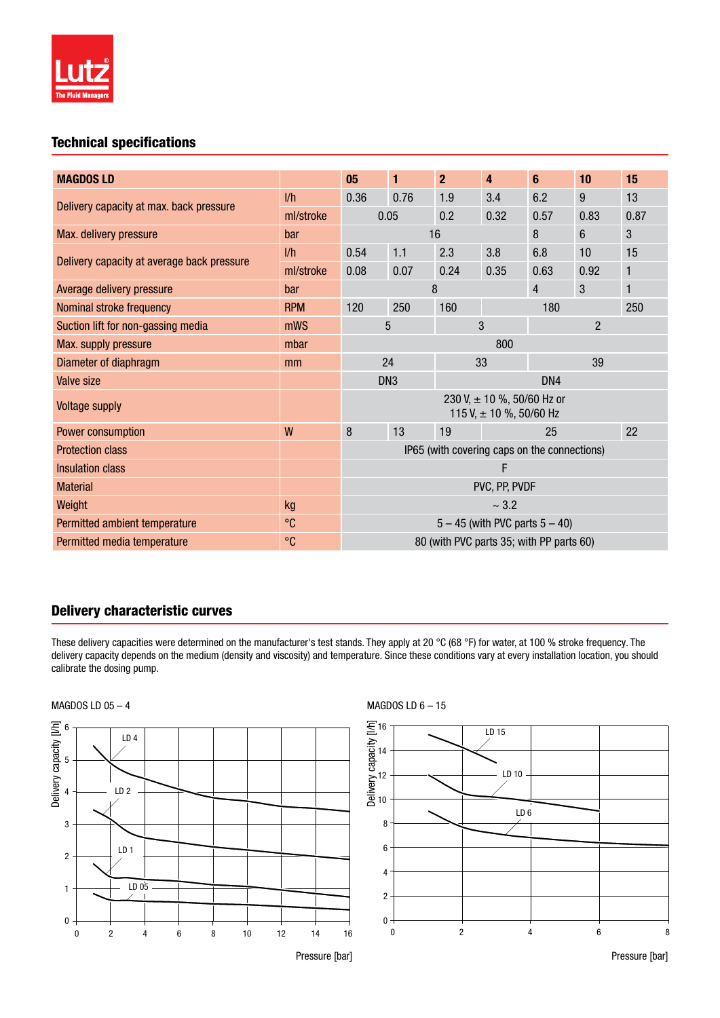

# Technical specifications

| <b>MAGDOS LD</b>                           |                      | 05                                                            | 1    | $\overline{2}$ | 4                        | 6          | 10   | 15 |
|--------------------------------------------|----------------------|---------------------------------------------------------------|------|----------------|--------------------------|------------|------|----|
| Delivery capacity at max. back pressure    | 1/h                  | 0.36                                                          | 0.76 | 1.9            | 3.4                      | 6.2        | 9    | 13 |
|                                            | ml/stroke            | 0.32<br>0.05<br>0.2                                           |      |                | 0.57                     | 0.83       | 0.87 |    |
| Max. delivery pressure                     | bar                  | 8<br>16<br>6                                                  |      |                |                          | 3          |      |    |
| Delivery capacity at average back pressure | 1/h                  | 0.54                                                          | 1.1  | 2.3            | 3.8                      | 6.8        | 10   | 15 |
|                                            | ml/stroke            | 0.08                                                          | 0.07 | 0.24           | 0.35                     | 0.63       | 0.92 | 1  |
| Average delivery pressure                  | bar                  |                                                               |      | 8              | 3<br>$\overline{4}$<br>1 |            |      |    |
| Nominal stroke frequency                   | <b>RPM</b>           | 120                                                           | 250  | 160            |                          | 250<br>180 |      |    |
| Suction lift for non-gassing media         | mWS                  | 5                                                             |      |                | 3<br>$\overline{2}$      |            |      |    |
| Max. supply pressure                       | mbar                 | 800                                                           |      |                |                          |            |      |    |
| Diameter of diaphragm                      | mm                   | 24<br>33<br>39                                                |      |                |                          |            |      |    |
| Valve size                                 |                      | DN <sub>3</sub><br>DN4                                        |      |                |                          |            |      |    |
| <b>Voltage supply</b>                      |                      | 230 V, $\pm$ 10 %, 50/60 Hz or<br>115 V, $\pm$ 10 %, 50/60 Hz |      |                |                          |            |      |    |
| Power consumption                          | W                    | 8                                                             | 13   | 19             |                          | 25         |      | 22 |
| <b>Protection class</b>                    |                      | IP65 (with covering caps on the connections)                  |      |                |                          |            |      |    |
| <b>Insulation class</b>                    |                      | F                                                             |      |                |                          |            |      |    |
| <b>Material</b>                            |                      | PVC, PP, PVDF                                                 |      |                |                          |            |      |    |
| Weight                                     | kg                   | ~1.2                                                          |      |                |                          |            |      |    |
| Permitted ambient temperature              | $\circ$ <sub>C</sub> | $5 - 45$ (with PVC parts $5 - 40$ )                           |      |                |                          |            |      |    |
| Permitted media temperature                | $^{\circ}C$          | 80 (with PVC parts 35; with PP parts 60)                      |      |                |                          |            |      |    |

## Delivery characteristic curves

These delivery capacities were determined on the manufacturer's test stands. They apply at 20 °C (68 °F) for water, at 100 % stroke frequency. The delivery capacity depends on the medium (density and viscosity) and temperature. Since these conditions vary at every installation location, you should calibrate the dosing pump.







Pressure [bar]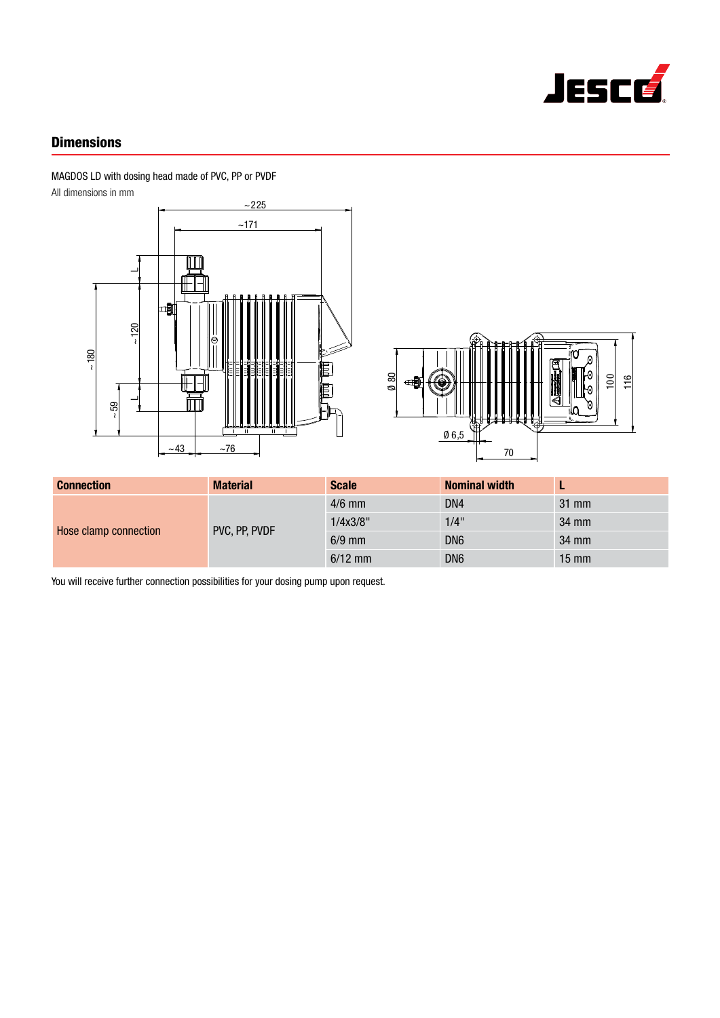

# **Dimensions**

MAGDOS LD with dosing head made of PVC, PP or PVDF

All dimensions in mm





| <b>Connection</b>     | <b>Material</b> | <b>Scale</b> | <b>Nominal width</b> |                 |
|-----------------------|-----------------|--------------|----------------------|-----------------|
| Hose clamp connection | PVC, PP, PVDF   | $4/6$ mm     | DN4                  | $31 \text{ mm}$ |
|                       |                 | 1/4x3/8"     | $1/4$ "              | 34 mm           |
|                       |                 | $6/9$ mm     | DN <sub>6</sub>      | 34 mm           |
|                       |                 | $6/12$ mm    | DN <sub>6</sub>      | $15 \text{ mm}$ |

You will receive further connection possibilities for your dosing pump upon request.